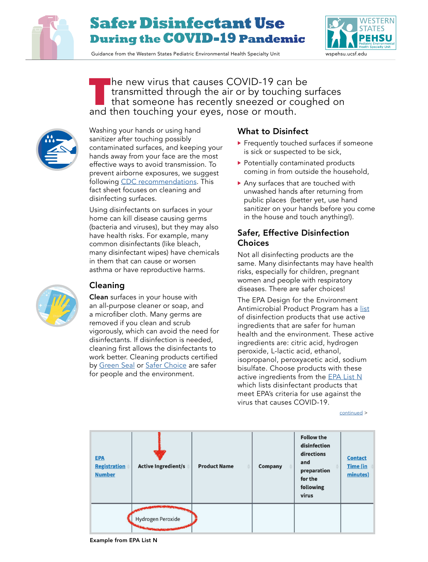

# **Safer Disinfectant Use During theCOVID-19 Pandemic**

Guidance from the Western States Pediatric Environmental Health Specialty Unit www.wspehsu.ucsf.edu



TTP he new virus that causes COVID-19 can be<br>
transmitted through the air or by touching surfaces<br>
that someone has recently sneezed or coughed on<br>
and then touching your over nose or mouth transmitted through the air or by touching surfaces and then touching your eyes, nose or mouth.



Washing your hands or using hand sanitizer after touching possibly contaminated surfaces, and keeping your hands away from your face are the most effective ways to avoid transmission. To prevent airborne exposures, we suggest following [CDC recommendations](https://www.cdc.gov/coronavirus/2019-ncov/prepare/prevention.html). This fact sheet focuses on cleaning and disinfecting surfaces.

Using disinfectants on surfaces in your home can kill disease causing germs (bacteria and viruses), but they may also have health risks. For example, many common disinfectants (like bleach, many disinfectant wipes) have chemicals in them that can cause or worsen asthma or have reproductive harms.

## Cleaning

Clean surfaces in your house with an all-purpose cleaner or soap, and a microfiber cloth. Many germs are removed if you clean and scrub vigorously, which can avoid the need for disinfectants. If disinfection is needed, cleaning first allows the disinfectants to work better. Cleaning products certified by [Green Seal](https://www.greenseal.org/certified-products-services?s=Household+Cleaning+Products) or [Safer Choice](https://www.epa.gov/saferchoice/products) are safer for people and the environment.

### What to Disinfect

- **Figure 1** Frequently touched surfaces if someone is sick or suspected to be sick,
- ▶ Potentially contaminated products coming in from outside the household,
- Any surfaces that are touched with unwashed hands after returning from public places (better yet, use hand sanitizer on your hands before you come in the house and touch anything!).

### Safer, Effective Disinfection Choices

Not all disinfecting products are the same. Many disinfectants may have health risks, especially for children, pregnant women and people with respiratory diseases. There are safer choices!

The EPA Design for the Environment Antimicrobial Product Program has a [list](https://www.epa.gov/pesticide-labels/design-environment-logo-antimicrobial-pesticide-products) of disinfection products that use active ingredients that are safer for human health and the environment. These active ingredients are: citric acid, hydrogen peroxide, L-lactic acid, ethanol, isopropanol, peroxyacetic acid, sodium bisulfate. Choose products with these active ingredients from the [EPA List N](https://www.epa.gov/pesticide-registration/list-n-disinfectants-use-against-sars-cov-2) which lists disinfectant products that meet EPA's criteria for use against the virus that causes COVID-19.

[continued](#page-1-0) >

| <b>EPA</b><br><b>Registration</b><br><b>Number</b> | <b>Active Ingredient/s</b> | <b>Product Name</b> | Company | <b>Follow the</b><br>disinfection<br>directions<br>and<br>preparation<br>for the<br>following<br>virus | <b>Contact</b><br><b>Time</b> (in<br>minutes) |
|----------------------------------------------------|----------------------------|---------------------|---------|--------------------------------------------------------------------------------------------------------|-----------------------------------------------|
|                                                    | Hydrogen Peroxide          |                     |         |                                                                                                        |                                               |

Example from EPA List N